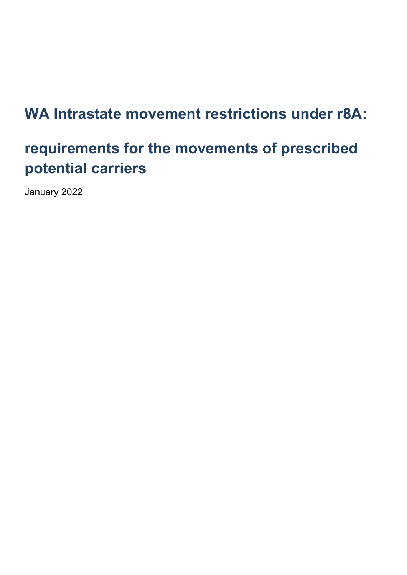# **WA Intrastate movement restrictions under r8A:**

# **requirements for the movements of prescribed potential carriers**

January 2022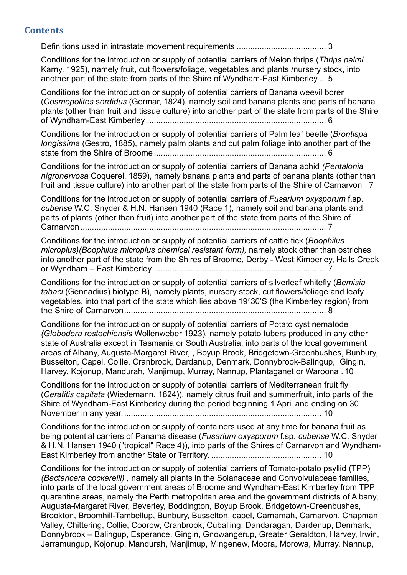#### **Contents**

[Definitions used in intrastate movement requirements](#page-3-0) ....................................... 3

[Conditions for the introduction or supply of potential carriers of Melon thrips \(](#page-5-0)*Thrips palmi* [Karny, 1925\), namely fruit, cut flowers/foliage, vegetables and plants /nursery stock, into](#page-5-0)  [another part of the state from parts of the Shire of Wyndham-East Kimberley](#page-5-0) ... 5

[Conditions for the introduction or supply of potential carriers of Banana weevil borer](#page-6-0)  (*Cosmopolites* s*ordidus* [\(Germar, 1824\), namely soil and banana plants and parts of banana](#page-6-0)  [plants \(other than fruit and tissue culture\) into another part of the state from parts of the Shire](#page-6-0)  of Wyndham-East Kimberley [..............................................................................](#page-6-0) 6

[Conditions for the introduction or supply of potential carriers of Palm leaf beetle \(](#page-6-1)*Brontispa longissima* [\(Gestro, 1885\), namely palm plants and cut palm foliage into another part of the](#page-6-1)  [state from the Shire of Broome...........................................................................](#page-6-1) 6

Conditions for the [introduction or supply of potential carriers of Banana aphid](#page-7-0) *(Pentalonia nigronervosa* [Coquerel, 1859\), namely banana plants and parts of banana plants \(other than](#page-7-0)  [fruit and tissue culture\) into another part of the state from parts of the Shire of Carnarvon](#page-7-0) 7

[Conditions for the introduction or supply of potential carriers of](#page-7-1) *Fusarium oxysporum* f.sp. *cubense* [W.C. Snyder & H.N. Hansen 1940 \(Race 1\), namely soil and banana plants and](#page-7-1)  [parts of plants \(other than fruit\) into another part of the state from parts of the Shire of](#page-7-1)  [Carnarvon...........................................................................................................](#page-7-1) 7

[Conditions for the introduction or supply of potential carriers of cattle tick \(](#page-7-2)*Boophilus [microplus\)\(Boophilus microplus chemical resistant form\),](#page-7-2)* namely stock other than ostriches into another part of the state [from the Shires of Broome, Derby -](#page-7-2) West Kimberley, Halls Creek or Wyndham – East Kimberley [...........................................................................](#page-7-2) 7

[Conditions for the introduction or supply of potential carriers of silverleaf whitefly \(](#page-8-0)*Bemisia tabaci* (Gennadius) [biotype B\), namely plants, nursery stock, cut](#page-8-0) flowers/foliage and leafy vegetables, into that part of the state which lies above 19°30'S (the Kimberley region) from [the Shire of Carnarvon........................................................................................](#page-8-0) 8

[Conditions for the introduction or supply of potential carriers of Potato cyst nematode](#page-10-0)  *(Globodera rostochiensis* Wollenweber 1923)*,* namely [potato tubers produced in any other](#page-10-0)  [state of Australia except in Tasmania or South Australia, into parts of the local government](#page-10-0)  [areas of Albany, Augusta-Margaret River, , Boyup Brook, Bridgetown-Greenbushes, Bunbury,](#page-10-0)  [Busselton, Capel, Collie, Cranbrook, Dardanup, Denmark, Donnybrook-Balingup, Gingin,](#page-10-0)  [Harvey, Kojonup, Mandurah, Manjimup, Murray, Nannup, Plantaganet or Waroona .](#page-10-0) 10

[Conditions for the introduction or supply of potential carriers of Mediterranean fruit fly](#page-10-1)  (*Ceratitis capitata* [\(Wiedemann, 1824\)\), namely citrus fruit and summerfruit, into parts of the](#page-10-1)  [Shire of Wyndham-East Kimberley during the period beginning 1 April and ending on 30](#page-10-1)  [November in any year.......................................................................................](#page-10-1) 10

[Conditions for the introduction or supply of containers used at any time for banana fruit as](#page-10-2)  [being potential carriers of Panama disease \(](#page-10-2)*Fusarium oxysporum* f.sp. *cubense* W.C. Snyder [& H.N. Hansen 1940 \("tropical" Race 4\)\), into parts of the Shires of Carnarvon and Wyndham-](#page-10-2)[East Kimberley from another State or Territory.](#page-10-2) ................................................ 10

[Conditions for the introduction or supply of potential carriers of Tomato-potato psyllid \(TPP\)](#page-11-0)  *(Bactericera cockerelli) ,* namely [all plants in the Solanaceae and Convolvulaceae families,](#page-11-0)  [into parts of the local government areas of Broome and Wyndham-East Kimberley from TPP](#page-11-0)  [quarantine areas, namely the Perth metropolitan area and the government districts of Albany,](#page-11-0)  [Augusta-Margaret River, Beverley, Boddington, Boyup Brook, Bridgetown-Greenbushes,](#page-11-0)  [Brookton, Broomhill-Tambellup, Bunbury, Busselton, capel, Carnamah, Carnarvon, Chapman](#page-11-0)  [Valley, Chittering, Collie, Coorow, Cranbrook, Cuballing, Dandaragan, Dardenup, Denmark,](#page-11-0)  Donnybrook – [Balingup, Esperance, Gingin, Gnowangerup, Greater Geraldton, Harvey, Irwin,](#page-11-0)  [Jerramungup, Kojonup, Mandurah, Manjimup, Mingenew, Moora, Morowa, Murray, Nannup,](#page-11-0)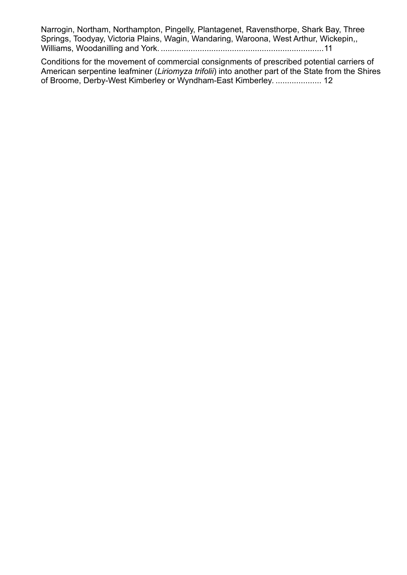[Narrogin, Northam, Northampton, Pingelly, Plantagenet, Ravensthorpe, Shark Bay, Three](#page-11-0)  [Springs, Toodyay, Victoria Plains, Wagin, Wandaring, Waroona, West Arthur, Wickepin,,](#page-11-0)  Williams, Woodanilling and York. [.......................................................................11](#page-11-0)

[Conditions for the movement of commercial consignments of prescribed potential carriers of](#page-12-0)  American serpentine leafminer (*Liriomyza trifolii*[\) into another part of the State from the Shires](#page-12-0)  [of Broome, Derby-West Kimberley or Wyndham-East Kimberley](#page-12-0)*.* .................... 12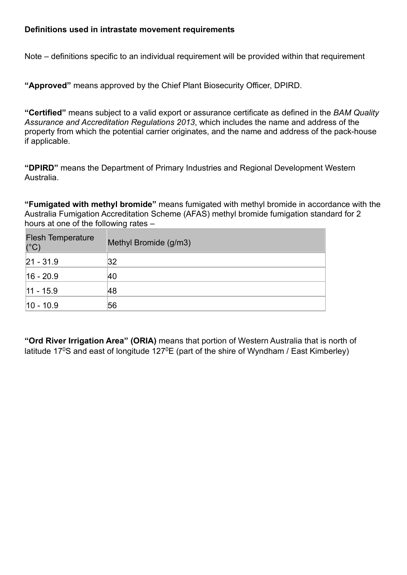#### <span id="page-3-0"></span>**Definitions used in intrastate movement requirements**

Note – definitions specific to an individual requirement will be provided within that requirement

**"Approved"** means approved by the Chief Plant Biosecurity Officer, DPIRD.

**"Certified"** means subject to a valid export or assurance certificate as defined in the *BAM Quality Assurance and Accreditation Regulations 2013*, which includes the name and address of the property from which the potential carrier originates, and the name and address of the pack-house if applicable.

**"DPIRD"** means the Department of Primary Industries and Regional Development Western Australia.

**"Fumigated with methyl bromide"** means fumigated with methyl bromide in accordance with the Australia Fumigation Accreditation Scheme (AFAS) methyl bromide fumigation standard for 2 hours at one of the following rates –

| <b>Flesh Temperature</b><br>$(^{\circ}C)$ | Methyl Bromide (g/m3) |
|-------------------------------------------|-----------------------|
| $ 21 - 31.9 $                             | 32                    |
| $ 16 - 20.9 $                             | 40                    |
| $ 11 - 15.9 $                             | 48                    |
| $ 10 - 10.9 $                             | 56                    |

**"Ord River Irrigation Area" (ORIA)** means that portion of Western Australia that is north of latitude 17<sup>0</sup>S and east of longitude 127<sup>0</sup>E (part of the shire of Wyndham / East Kimberley)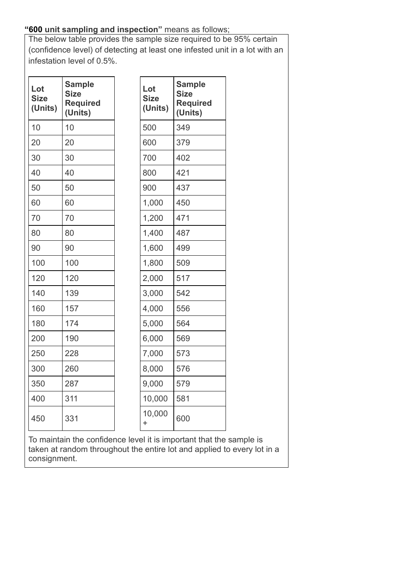# **"600 unit sampling and inspection"** means as follows;

The below table provides the sample size required to be 95% certain (confidence level) of detecting at least one infested unit in a lot with an infestation level of 0.5%.

| Lot<br><b>Size</b><br>(Units) | <b>Sample</b><br><b>Size</b><br><b>Required</b><br>(Units) | Lot<br><b>Size</b><br>(Units) | <b>Sample</b><br><b>Size</b><br><b>Required</b><br>(Units) |
|-------------------------------|------------------------------------------------------------|-------------------------------|------------------------------------------------------------|
| 10                            | 10                                                         | 500                           | 349                                                        |
| 20                            | 20                                                         | 600                           | 379                                                        |
| 30                            | 30                                                         | 700                           | 402                                                        |
| 40                            | 40                                                         | 800                           | 421                                                        |
| 50                            | 50                                                         | 900                           | 437                                                        |
| 60                            | 60                                                         | 1,000                         | 450                                                        |
| 70                            | 70                                                         | 1,200                         | 471                                                        |
| 80                            | 80                                                         | 1,400                         | 487                                                        |
| 90                            | 90                                                         | 1,600                         | 499                                                        |
| 100                           | 100                                                        | 1,800                         | 509                                                        |
| 120                           | 120                                                        | 2,000                         | 517                                                        |
| 140                           | 139                                                        | 3,000                         | 542                                                        |
| 160                           | 157                                                        | 4,000                         | 556                                                        |
| 180                           | 174                                                        | 5,000                         | 564                                                        |
| 200                           | 190                                                        | 6,000                         | 569                                                        |
| 250                           | 228                                                        | 7,000                         | 573                                                        |
| 300                           | 260                                                        | 8,000                         | 576                                                        |
| 350                           | 287                                                        | 9,000                         | 579                                                        |
| 400                           | 311                                                        | 10,000                        | 581                                                        |
| 450                           | 331                                                        | 10,000<br>$\ddot{}$           | 600                                                        |

To maintain the confidence level it is important that the sample is taken at random throughout the entire lot and applied to every lot in a consignment.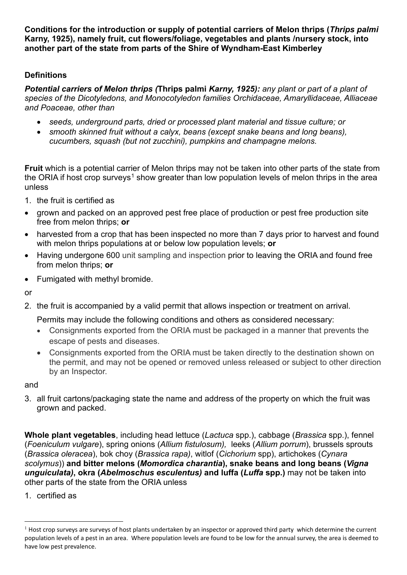<span id="page-5-0"></span>**Conditions for the introduction or supply of potential carriers of Melon thrips (***[Thrips](https://www.agric.wa.gov.au/organisms/128438?search_string=melon%20thrips&per-page=20&sort-by=taxon&order-by=asc) palmi* **[Karny, 1925\)](https://www.agric.wa.gov.au/organisms/128438?search_string=melon%20thrips&per-page=20&sort-by=taxon&order-by=asc), namely fruit, cut flowers/foliage, vegetables and plants /nursery stock, into another part of the state from parts of the Shire of Wyndham-East Kimberley**

### **Definitions**

*Potential carriers of Melon thrips (***Thrips palmi** *[Karny, 1925\)](https://www.agric.wa.gov.au/organisms/128438?search_string=melon%20thrips&per-page=20&sort-by=taxon&order-by=asc): any plant or part of a plant of species of the Dicotyledons, and Monocotyledon families Orchidaceae, Amaryllidaceae, Alliaceae and Poaceae, other than* 

- *seeds, underground parts, dried or processed plant material and tissue culture; or*
- *smooth skinned fruit without a calyx, beans (except snake beans and long beans), cucumbers, squash (but not zucchini), pumpkins and champagne melons.*

**Fruit** which is a potential carrier of Melon thrips may not be taken into other parts of the state from the ORIA if host crop surveys<sup>[1](#page-5-1)</sup> show greater than low population levels of melon thrips in the area unless

- 1. the fruit is certified as
- grown and packed on an approved pest free place of production or pest free production site free from melon thrips; **or**
- harvested from a crop that has been inspected no more than 7 days prior to harvest and found with melon thrips populations at or below low population levels; **or**
- Having undergone 600 unit sampling and inspection prior to leaving the ORIA and found free from melon thrips; **or**
- Fumigated with methyl bromide.

or

2. the fruit is accompanied by a valid permit that allows inspection or treatment on arrival.

Permits may include the following conditions and others as considered necessary:

- Consignments exported from the ORIA must be packaged in a manner that prevents the escape of pests and diseases.
- Consignments exported from the ORIA must be taken directly to the destination shown on the permit, and may not be opened or removed unless released or subject to other direction by an Inspector.

#### and

3. all fruit cartons/packaging state the name and address of the property on which the fruit was grown and packed.

**Whole plant vegetables**, including head lettuce (*Lactuca* spp.), cabbage (*Brassica* spp.), fennel (*[Foeniculum](https://www.agric.wa.gov.au/organisms/87850?search_string=Fennel&per-page=20&sort-by=taxon&order-by=asc) vulgare*), spring onions (*Allium fistulosum),* leeks (*Allium porrum*), brussels sprouts (*[Brassica](https://www.agric.wa.gov.au/organisms/78297?search_string=Brussels%20sprouts&per-page=20&sort-by=taxon&order-by=asc) oleracea*), bok choy (*Brassica rapa)*, witlof (*[Cichorium](https://www.agric.wa.gov.au/organisms/82159?search_string=witlof&per-page=20&sort-by=taxon&order-by=asc)* spp), artichokes (*Cynara scolymus*)) **and bitter melons (***Momordica charantia***), snake beans and long beans (***[Vigna](https://www.agric.wa.gov.au/organisms/129516?search_string=vigna&per-page=20&sort-by=taxon&order-by=asc&page=1) [unguiculata\)](https://www.agric.wa.gov.au/organisms/129516?search_string=vigna&per-page=20&sort-by=taxon&order-by=asc&page=1)***, okra (***[Abelmoschus](https://www.agric.wa.gov.au/organisms/71665?search_string=okra&per-page=20&sort-by=taxon&order-by=asc) esculentus)* **and luffa (***Luffa* **spp.)** may not be taken into other parts of the state from the ORIA unless

1. certified as

<span id="page-5-1"></span> $<sup>1</sup>$  Host crop surveys are surveys of host plants undertaken by an inspector or approved third party which determine the current</sup> population levels of a pest in an area. Where population levels are found to be low for the annual survey, the area is deemed to have low pest prevalence.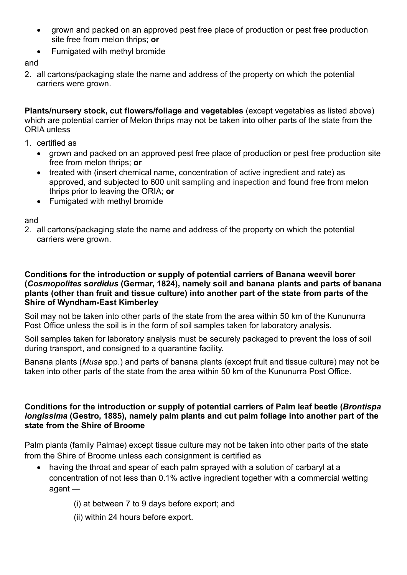- grown and packed on an approved pest free place of production or pest free production site free from melon thrips; **or**
- Fumigated with methyl bromide

and

2. all cartons/packaging state the name and address of the property on which the potential carriers were grown.

**Plants/nursery stock, cut flowers/foliage and vegetables** (except vegetables as listed above) which are potential carrier of Melon thrips may not be taken into other parts of the state from the ORIA unless

- 1. certified as
	- grown and packed on an approved pest free place of production or pest free production site free from melon thrips; **or**
	- treated with (insert chemical name, concentration of active ingredient and rate) as approved, and subjected to 600 unit sampling and inspection and found free from melon thrips prior to leaving the ORIA; **or**
	- Fumigated with methyl bromide

and

2. all cartons/packaging state the name and address of the property on which the potential carriers were grown.

#### <span id="page-6-0"></span>**Conditions for the introduction or supply of potential carriers of Banana weevil borer (***Cosmopolites* **s***ordidus* **[\(Germar, 1824\),](https://www.agric.wa.gov.au/organisms/81678?search_string=banana%20weevil%20borer&per-page=20&sort-by=taxon&order-by=asc) namely soil and banana plants and parts of banana plants (other than fruit and tissue culture) into another part of the state from parts of the Shire of Wyndham-East Kimberley**

Soil may not be taken into other parts of the state from the area within 50 km of the Kununurra Post Office unless the soil is in the form of soil samples taken for laboratory analysis.

Soil samples taken for laboratory analysis must be securely packaged to prevent the loss of soil during transport, and consigned to a quarantine facility.

Banana plants (*Musa* spp.) and parts of banana plants (except fruit and tissue culture) may not be taken into other parts of the state from the area within 50 km of the Kununurra Post Office.

#### <span id="page-6-1"></span>**Conditions for the introduction or supply of potential carriers of Palm leaf beetle (***Brontispa longissima* **(Gestro, 1885), namely palm plants and cut palm foliage into another part of the state from the Shire of Broome**

Palm plants (family Palmae) except tissue culture may not be taken into other parts of the state from the Shire of Broome unless each consignment is certified as

- having the throat and spear of each palm sprayed with a solution of carbaryl at a concentration of not less than 0.1% active ingredient together with a commercial wetting agent —
	- (i) at between 7 to 9 days before export; and
	- (ii) within 24 hours before export.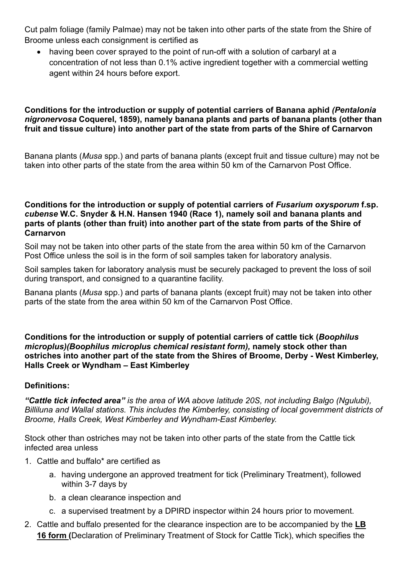Cut palm foliage (family Palmae) may not be taken into other parts of the state from the Shire of Broome unless each consignment is certified as

• having been cover sprayed to the point of run-off with a solution of carbaryl at a concentration of not less than 0.1% active ingredient together with a commercial wetting agent within 24 hours before export.

#### <span id="page-7-0"></span>**Conditions for the introduction or supply of potential carriers of Banana aphid** *(Pentalonia nigronervosa* **Coquerel, 1859), namely banana plants and parts of banana plants (other than fruit and tissue culture) into another part of the state from parts of the Shire of Carnarvon**

Banana plants (*Musa* spp.) and parts of banana plants (except fruit and tissue culture) may not be taken into other parts of the state from the area within 50 km of the Carnarvon Post Office.

#### <span id="page-7-1"></span>**Conditions for the introduction or supply of potential carriers of** *Fusarium oxysporum* **f.sp.**  *cubense* **W.C. Snyder & H.N. Hansen 1940 (Race 1), namely soil and banana plants and parts of plants (other than fruit) into another part of the state from parts of the Shire of Carnarvon**

Soil may not be taken into other parts of the state from the area within 50 km of the Carnarvon Post Office unless the soil is in the form of soil samples taken for laboratory analysis.

Soil samples taken for laboratory analysis must be securely packaged to prevent the loss of soil during transport, and consigned to a quarantine facility.

Banana plants (*Musa* spp.) and parts of banana plants (except fruit) may not be taken into other parts of the state from the area within 50 km of the Carnarvon Post Office.

<span id="page-7-2"></span>**Conditions for the introduction or supply of potential carriers of cattle tick (***Boophilus microplus)(Boophilus microplus chemical resistant form),* **namely stock other than ostriches into another part of the state from the Shires of Broome, Derby - West Kimberley, Halls Creek or Wyndham – East Kimberley** 

#### **Definitions:**

*"Cattle tick infected area" is the area of WA above latitude 20S, not including Balgo (Ngulubi), Billiluna and Wallal stations. This includes the Kimberley, consisting of local government districts of Broome, Halls Creek, West Kimberley and Wyndham-East Kimberley.*

Stock other than ostriches may not be taken into other parts of the state from the Cattle tick infected area unless

- 1. Cattle and buffalo\* are certified as
	- a. having undergone an approved treatment for tick (Preliminary Treatment), followed within 3-7 days by
	- b. a clean clearance inspection and
	- c. a supervised treatment by a DPIRD inspector within 24 hours prior to movement.
- 2. Cattle and buffalo presented for the clearance inspection are to be accompanied by the **[LB](https://www.agric.wa.gov.au/sites/gateway/files/LB16%20Declaration%20of%20preliminary%20treatment%20of%20stock%20for%20cattle%20tick_compatible-version.pdf)  [16](https://www.agric.wa.gov.au/sites/gateway/files/LB16%20Declaration%20of%20preliminary%20treatment%20of%20stock%20for%20cattle%20tick_compatible-version.pdf) form (**Declaration of Preliminary Treatment of Stock for Cattle Tick)[,](https://www.agric.wa.gov.au/sites/gateway/files/LB16%20-%20Declaration%20of%20preliminary%20treatment%20of%20stock%20for%20cattle%20tick.pdf) which specifies the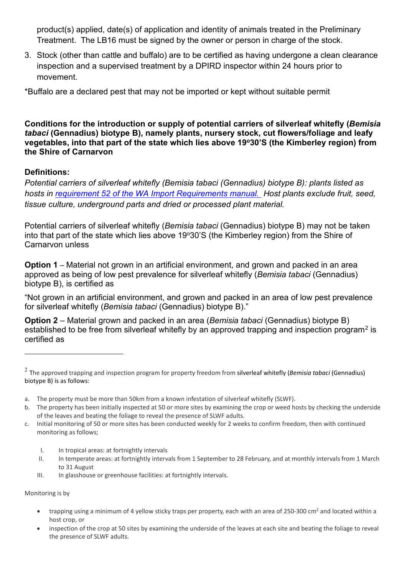product(s) applied, date(s) of application and identity of animals treated in the Preliminary Treatment. The LB16 must be signed by the owner or person in charge of the stock.

3. Stock (other than cattle and buffalo) are to be certified as having undergone a clean clearance inspection and a supervised treatment by a DPIRD inspector within 24 hours prior to movement.

\*Buffalo are a declared pest that may not be imported or kept without suitable permit

<span id="page-8-0"></span>**Conditions for the introduction or supply of potential carriers of silverleaf whitefly (***Bemisia tabaci* **(Gennadius) biotype B), namely plants, nursery stock, cut flowers/foliage and leafy vegetables, into that part of the state which lies above 19o30'S (the Kimberley region) from the Shire of Carnarvon**

### **Definitions:**

*Potential carriers of silverleaf whitefly (Bemisia tabaci (Gennadius) biotype B): plants listed as hosts in [requirement 52 of the WA Import Requirements manual.](https://www.agric.wa.gov.au/iaquarantine/regulations.asp?txtcommodity=31&optformat=1&optstate=QLD&optregid=52) Host plants exclude fruit, seed, tissue culture, underground parts and dried or processed plant material.*

Potential carriers of silverleaf whitefly (*Bemisia tabaci* (Gennadius) biotype B) may not be taken into that part of the state which lies above 19 $\degree 30$ 'S (the Kimberley region) from the Shire of Carnarvon unless

**Option 1** – Material not grown in an artificial environment, and grown and packed in an area approved as being of low pest prevalence for silverleaf whitefly (*Bemisia tabaci* (Gennadius) biotype B), is certified as

"Not grown in an artificial environment, and grown and packed in an area of low pest prevalence for silverleaf whitefly (*Bemisia tabaci* (Gennadius) biotype B)."

**Option 2** – Material grown and packed in an area (*Bemisia tabaci* (Gennadius) biotype B) established to be free from silverleaf whitefly by an approved trapping and inspection program<sup>[2](#page-8-1)</sup> is certified as

- c. Initial monitoring of 50 or more sites has been conducted weekly for 2 weeks to confirm freedom, then with continued monitoring as follows;
	- I. In tropical areas: at fortnightly intervals
	- II. In temperate areas: at fortnightly intervals from 1 September to 28 February, and at monthly intervals from 1 March to 31 August
	- III. In glasshouse or greenhouse facilities: at fortnightly intervals.

Monitoring is by

- trapping using a minimum of 4 yellow sticky traps per property, each with an area of 250-300 cm<sup>2</sup> and located within a host crop, or
- inspection of the crop at 50 sites by examining the underside of the leaves at each site and beating the foliage to reveal the presence of SLWF adults.

<span id="page-8-1"></span><sup>2</sup> The approved trapping and inspection program for property freedom from silverleaf whitefly (*Bemisia tabaci* (Gennadius) biotype B) is as follows:

a. The property must be more than 50km from a known infestation of silverleaf whitefly (SLWF).

b. The property has been initially inspected at 50 or more sites by examining the crop or weed hosts by checking the underside of the leaves and beating the foliage to reveal the presence of SLWF adults.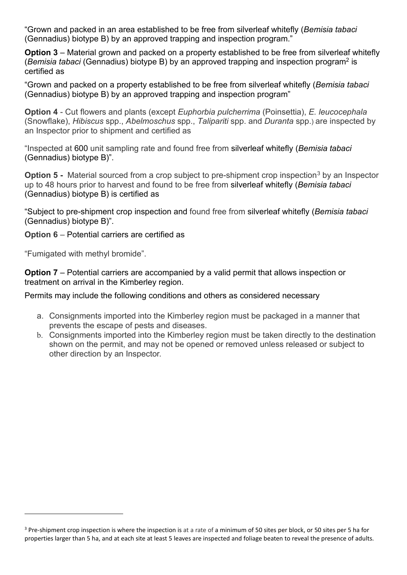"Grown and packed in an area established to be free from silverleaf whitefly (*Bemisia tabaci*  (Gennadius) biotype B) by an approved trapping and inspection program."

**Option 3** – Material grown and packed on a property established to be free from silverleaf whitefly (*Bemisia tabaci* (Gennadius) biotype B) by an approved trapping and inspection program2 is certified as

"Grown and packed on a property established to be free from silverleaf whitefly (*Bemisia tabaci*  (Gennadius) biotype B) by an approved trapping and inspection program"

**Option 4** - Cut flowers and plants (except *Euphorbia pulcherrima* (Poinsettia), *E. leucocephala* (Snowflake), *Hibiscus* spp., *Abelmoschus* spp., *Talipariti* spp. and *Duranta* spp.) are inspected by an Inspector prior to shipment and certified as

"Inspected at 600 unit sampling rate and found free from silverleaf whitefly (*Bemisia tabaci*  (Gennadius) biotype B)".

**Option 5 -** Material sourced from a crop subject to pre-shipment crop inspection<sup>[3](#page-9-0)</sup> by an Inspector up to 48 hours prior to harvest and found to be free from silverleaf whitefly (*Bemisia tabaci*  (Gennadius) biotype B) is certified as

"Subject to pre-shipment crop inspection and found free from silverleaf whitefly (*Bemisia tabaci*  (Gennadius) biotype B)".

**Option 6** – Potential carriers are certified as

"Fumigated with methyl bromide".

**Option 7** – Potential carriers are accompanied by a valid permit that allows inspection or treatment on arrival in the Kimberley region.

Permits may include the following conditions and others as considered necessary

- a. Consignments imported into the Kimberley region must be packaged in a manner that prevents the escape of pests and diseases.
- b. Consignments imported into the Kimberley region must be taken directly to the destination shown on the permit, and may not be opened or removed unless released or subject to other direction by an Inspector.

<span id="page-9-0"></span><sup>&</sup>lt;sup>3</sup> Pre-shipment crop inspection is where the inspection is at a rate of a minimum of 50 sites per block, or 50 sites per 5 ha for properties larger than 5 ha, and at each site at least 5 leaves are inspected and foliage beaten to reveal the presence of adults.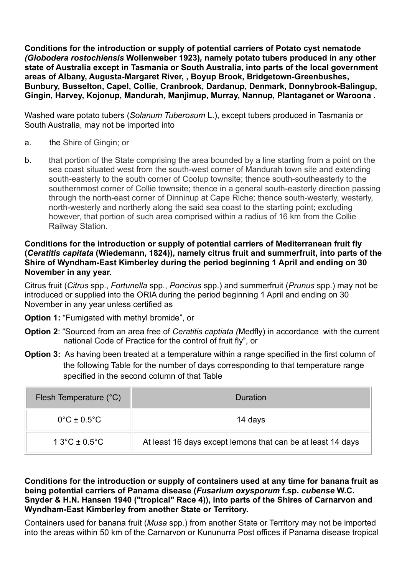<span id="page-10-0"></span>**Conditions for the introduction or supply of potential carriers of Potato cyst nematode**  *(Globodera rostochiensis* **[Wollenweber 1923\)](mailto:followup@agric.wa.gov.au?search_string=potato%20cyst%20nematode&per-page=20&sort-by=taxon&order-by=asc)***,* **namely potato tubers produced in any other state of Australia except in Tasmania or South Australia, into parts of the local government areas of Albany, Augusta-Margaret River, , Boyup Brook, Bridgetown-Greenbushes, Bunbury, Busselton, Capel, Collie, Cranbrook, Dardanup, Denmark, Donnybrook-Balingup, Gingin, Harvey, Kojonup, Mandurah, Manjimup, Murray, Nannup, Plantaganet or Waroona .**

Washed ware potato tubers (*Solanum Tuberosum* L.), except tubers produced in Tasmania or South Australia, may not be imported into

- a. the Shire of Gingin; or
- b. that portion of the State comprising the area bounded by a line starting from a point on the sea coast situated west from the south-west corner of Mandurah town site and extending south-easterly to the south corner of Coolup townsite; thence south-southeasterly to the southernmost corner of Collie townsite; thence in a general south-easterly direction passing through the north-east corner of Dinninup at Cape Riche; thence south-westerly, westerly, north-westerly and northerly along the said sea coast to the starting point; excluding however, that portion of such area comprised within a radius of 16 km from the Collie Railway Station.

#### <span id="page-10-1"></span>**Conditions for the introduction or supply of potential carriers of Mediterranean fruit fly (***Ceratitis capitata* **(Wiedemann, 1824)), namely citrus fruit and summerfruit, into parts of the Shire of Wyndham-East Kimberley during the period beginning 1 April and ending on 30 November in any year.**

Citrus fruit (*Citrus* spp., *Fortunella* spp., *Poncirus* spp.) and summerfruit (*Prunus* spp.) may not be introduced or supplied into the ORIA during the period beginning 1 April and ending on 30 November in any year unless certified as

**Option 1: "Fumigated with methyl bromide", or** 

- **Option 2**: "Sourced from an area free of *Ceratitis captiata (*Medfly) in accordance with the current national Code of Practice for the control of fruit fly", or
- **Option 3:** As having been treated at a temperature within a range specified in the first column of the following Table for the number of days corresponding to that temperature range specified in the second column of that Table

| Flesh Temperature (°C)           | Duration                                                    |
|----------------------------------|-------------------------------------------------------------|
| $0^{\circ}$ C ± 0.5 $^{\circ}$ C | 14 days                                                     |
| $13^{\circ}C \pm 0.5^{\circ}C$   | At least 16 days except lemons that can be at least 14 days |

#### <span id="page-10-2"></span>**Conditions for the introduction or supply of containers used at any time for banana fruit as being potential carriers of Panama disease (***Fusarium [oxysporum](https://www.agric.wa.gov.au/organisms/83460?search_string=panama%20disease&per-page=20&sort-by=taxon&order-by=asc)* **f.sp.** *cubense* **W.C. [Snyder & H.N. Hansen 1940 \("tropical" Race 4\)\)](https://www.agric.wa.gov.au/organisms/83460?search_string=panama%20disease&per-page=20&sort-by=taxon&order-by=asc), into parts of the Shires of Carnarvon and Wyndham-East Kimberley from another State or Territory.**

Containers used for banana fruit (*Musa* spp.) from another State or Territory may not be imported into the areas within 50 km of the Carnarvon or Kununurra Post offices if Panama disease tropical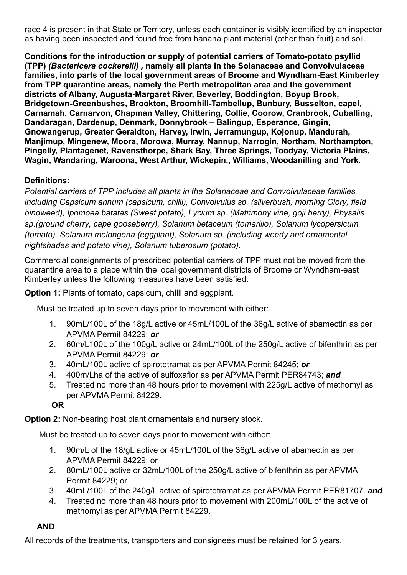race 4 is present in that State or Territory, unless each container is visibly identified by an inspector as having been inspected and found free from banana plant material (other than fruit) and soil.

<span id="page-11-0"></span>**Conditions for the introduction or supply of potential carriers of Tomato-potato psyllid (TPP)** *[\(Bactericera](mailto:followup@agric.wa.gov.au?search_string=potato%20cyst%20nematode&per-page=20&sort-by=taxon&order-by=asc) cockerelli) ,* **namely all plants in the Solanaceae and Convolvulaceae families, into parts of the local government areas of Broome and Wyndham-East Kimberley from TPP quarantine areas, namely the Perth metropolitan area and the government districts of Albany, Augusta-Margaret River, Beverley, Boddington, Boyup Brook, Bridgetown-Greenbushes, Brookton, Broomhill-Tambellup, Bunbury, Busselton, capel, Carnamah, Carnarvon, Chapman Valley, Chittering, Collie, Coorow, Cranbrook, Cuballing, Dandaragan, Dardenup, Denmark, Donnybrook – Balingup, Esperance, Gingin, Gnowangerup, Greater Geraldton, Harvey, Irwin, Jerramungup, Kojonup, Mandurah, Manjimup, Mingenew, Moora, Morowa, Murray, Nannup, Narrogin, Northam, Northampton, Pingelly, Plantagenet, Ravensthorpe, Shark Bay, Three Springs, Toodyay, Victoria Plains, Wagin, Wandaring, Waroona, West Arthur, Wickepin,, Williams, Woodanilling and York.**

## **Definitions:**

*Potential carriers of TPP includes all plants in the Solanaceae and Convolvulaceae families, including Capsicum annum (capsicum, chilli), Convolvulus sp. (silverbush, morning Glory, field bindweed), Ipomoea batatas (Sweet potato), Lycium sp. (Matrimony vine, goji berry), Physalis sp.(ground cherry, cape gooseberry), Solanum betaceum (tomarillo), Solanum lycopersicum (tomato), Solanum melongena (eggplant), Solanum sp. (including weedy and ornamental nightshades and potato vine), Solanum tuberosum (potato).*

Commercial consignments of prescribed potential carriers of TPP must not be moved from the quarantine area to a place within the local government districts of Broome or Wyndham-east Kimberley unless the following measures have been satisfied:

**Option 1:** Plants of tomato, capsicum, chilli and eggplant.

Must be treated up to seven days prior to movement with either:

- 1. 90mL/100L of the 18g/L active or 45mL/100L of the 36g/L active of abamectin as per APVMA Permit 84229; *or*
- 2. 60m/L100L of the 100g/L active or 24mL/100L of the 250g/L active of bifenthrin as per APVMA Permit 84229; *or*
- 3. 40mL/100L active of spirotetramat as per APVMA Permit 84245; *or*
- 4. 400m/Lha of the active of sulfoxaflor as per APVMA Permit PER84743; *and*
- 5. Treated no more than 48 hours prior to movement with 225g/L active of methomyl as per APVMA Permit 84229.

**OR**

**Option 2:** Non-bearing host plant ornamentals and nursery stock.

Must be treated up to seven days prior to movement with either:

- 1. 90m/L of the 18/gL active or 45mL/100L of the 36g/L active of abamectin as per APVMA Permit 84229; or
- 2. 80mL/100L active or 32mL/100L of the 250g/L active of bifenthrin as per APVMA Permit 84229; or
- 3. 40mL/100L of the 240g/L active of spirotetramat as per APVMA Permit PER81707. *and*
- 4. Treated no more than 48 hours prior to movement with 200mL/100L of the active of methomyl as per APVMA Permit 84229.

## **AND**

All records of the treatments, transporters and consignees must be retained for 3 years.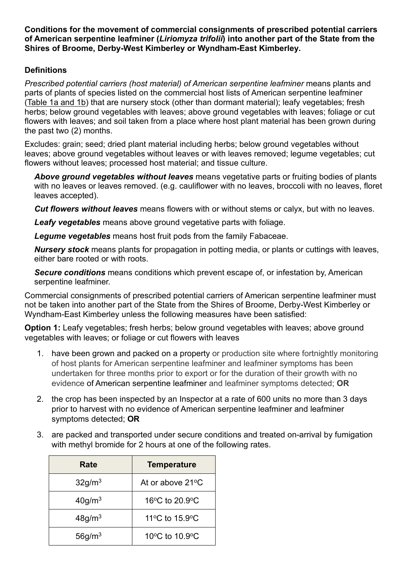<span id="page-12-0"></span>**Conditions for the movement of commercial consignments of prescribed potential carriers of American serpentine leafminer (***Liriomyza trifolii***) into another part of the State from the Shires of Broome, Derby-West Kimberley or Wyndham-East Kimberley***.*

#### **Definitions**

*Prescribed potential carriers (host material) of American serpentine leafminer* means plants and parts of plants of species listed on the commercial host lists of American serpentine leafminer (Table 1a and 1b) that are nursery stock (other than dormant material); leafy vegetables; fresh herbs; below ground vegetables with leaves; above ground vegetables with leaves; foliage or cut flowers with leaves; and soil taken from a place where host plant material has been grown during the past two (2) months.

Excludes: grain; seed; dried plant material including herbs; below ground vegetables without leaves; above ground vegetables without leaves or with leaves removed; legume vegetables; cut flowers without leaves; processed host material; and tissue culture.

*Above ground vegetables without leaves* means vegetative parts or fruiting bodies of plants with no leaves or leaves removed. (e.g. cauliflower with no leaves, broccoli with no leaves, floret leaves accepted).

*Cut flowers without leaves* means flowers with or without stems or calyx, but with no leaves.

*Leafy vegetables* means above ground vegetative parts with foliage.

*Legume vegetables* means host fruit pods from the family Fabaceae.

*Nursery stock* means plants for propagation in potting media, or plants or cuttings with leaves, either bare rooted or with roots.

*Secure conditions* means conditions which prevent escape of, or infestation by, American serpentine leafminer.

Commercial consignments of prescribed potential carriers of American serpentine leafminer must not be taken into another part of the State from the Shires of Broome, Derby-West Kimberley or Wyndham-East Kimberley unless the following measures have been satisfied:

**Option 1:** Leafy vegetables; fresh herbs; below ground vegetables with leaves; above ground vegetables with leaves; or foliage or cut flowers with leaves

- 1. have been grown and packed on a property or production site where fortnightly monitoring of host plants for American serpentine leafminer and leafminer symptoms has been undertaken for three months prior to export or for the duration of their growth with no evidence of American serpentine leafminer and leafminer symptoms detected; **OR**
- 2. the crop has been inspected by an Inspector at a rate of 600 units no more than 3 days prior to harvest with no evidence of American serpentine leafminer and leafminer symptoms detected; **OR**
- 3. are packed and transported under secure conditions and treated on-arrival by fumigation with methyl bromide for 2 hours at one of the following rates.

| Rate                  | <b>Temperature</b>                           |
|-----------------------|----------------------------------------------|
| 32g/m <sup>3</sup>    | At or above 21°C                             |
| $40$ g/m <sup>3</sup> | 16 $\rm{^{\circ}C}$ to 20.9 $\rm{^{\circ}C}$ |
| 48g/m <sup>3</sup>    | 11°C to 15.9°C                               |
| 56g/m <sup>3</sup>    | 10°C to 10.9°C                               |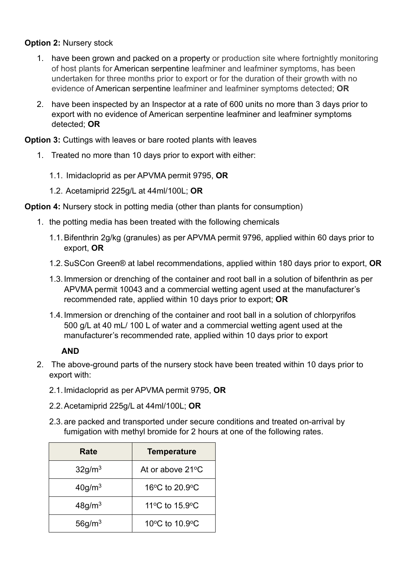#### **Option 2: Nursery stock**

- 1. have been grown and packed on a property or production site where fortnightly monitoring of host plants for American serpentine leafminer and leafminer symptoms, has been undertaken for three months prior to export or for the duration of their growth with no evidence of American serpentine leafminer and leafminer symptoms detected; **OR**
- 2. have been inspected by an Inspector at a rate of 600 units no more than 3 days prior to export with no evidence of American serpentine leafminer and leafminer symptoms detected; **OR**

**Option 3:** Cuttings with leaves or bare rooted plants with leaves

- 1. Treated no more than 10 days prior to export with either:
	- 1.1. Imidacloprid as per APVMA permit 9795, **OR**
	- 1.2. Acetamiprid 225g/L at 44ml/100L; **OR**

**Option 4:** Nursery stock in potting media (other than plants for consumption)

- 1. the potting media has been treated with the following chemicals
	- 1.1.Bifenthrin 2g/kg (granules) as per APVMA permit 9796, applied within 60 days prior to export, **OR**
	- 1.2.SuSCon Green® at label recommendations, applied within 180 days prior to export, **OR**
	- 1.3.Immersion or drenching of the container and root ball in a solution of bifenthrin as per APVMA permit 10043 and a commercial wetting agent used at the manufacturer's recommended rate, applied within 10 days prior to export; **OR**
	- 1.4.Immersion or drenching of the container and root ball in a solution of chlorpyrifos 500 g/L at 40 mL/ 100 L of water and a commercial wetting agent used at the manufacturer's recommended rate, applied within 10 days prior to export

## **AND**

- 2. The above-ground parts of the nursery stock have been treated within 10 days prior to export with:
	- 2.1.Imidacloprid as per APVMA permit 9795, **OR**
	- 2.2.Acetamiprid 225g/L at 44ml/100L; **OR**
	- 2.3.are packed and transported under secure conditions and treated on-arrival by fumigation with methyl bromide for 2 hours at one of the following rates.

| Rate                  | <b>Temperature</b> |
|-----------------------|--------------------|
| 32g/m <sup>3</sup>    | At or above 21°C   |
| $40$ g/m <sup>3</sup> | 16°C to 20.9°C     |
| $48$ g/m <sup>3</sup> | 11°C to 15.9°C     |
| 56q/m <sup>3</sup>    | 10°C to 10.9°C     |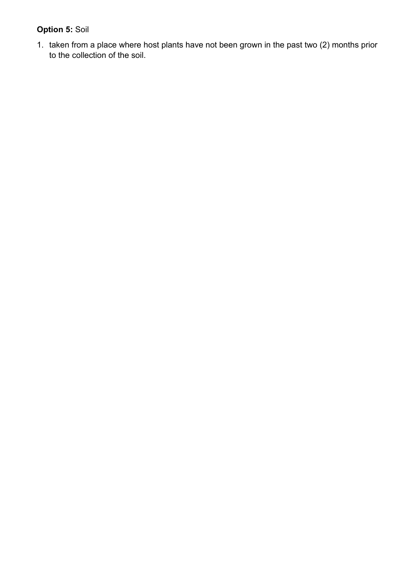# **Option 5:** Soil

1. taken from a place where host plants have not been grown in the past two (2) months prior to the collection of the soil.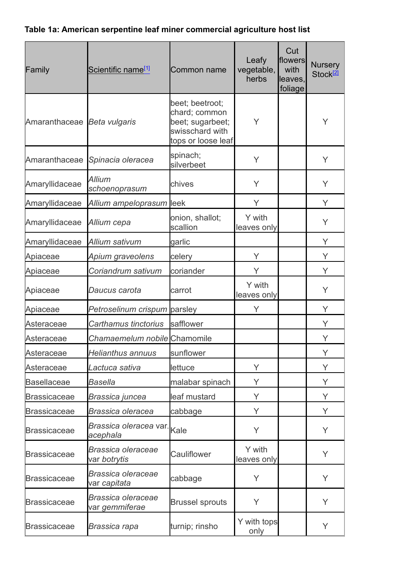# **Table 1a: American serpentine leaf miner commercial agriculture host list**

| Family                      | Scientific name <sup>[1]</sup>            | Common name                                                                                   | Leafy<br>vegetable,<br>herbs | Cut<br>flowers<br>with<br>leaves,<br>foliage | <b>Nursery</b><br>Stock <sup>[2]</sup> |
|-----------------------------|-------------------------------------------|-----------------------------------------------------------------------------------------------|------------------------------|----------------------------------------------|----------------------------------------|
| Amaranthaceae Beta vulgaris |                                           | beet; beetroot;<br>chard; common<br>beet; sugarbeet;<br>swisschard with<br>tops or loose leaf | Y                            |                                              | Υ                                      |
| Amaranthaceae               | Spinacia oleracea                         | spinach;<br>silverbeet                                                                        | Υ                            |                                              | Y                                      |
| Amaryllidaceae              | <b>Allium</b><br>schoenoprasum            | chives                                                                                        | Y                            |                                              | Y                                      |
| Amaryllidaceae              | Allium ampeloprasum leek                  |                                                                                               | Y                            |                                              | Y                                      |
| Amaryllidaceae              | Allium cepa                               | onion, shallot;<br>scallion                                                                   | Y with<br>leaves only        |                                              | Y                                      |
| Amaryllidaceae              | Allium sativum                            | garlic                                                                                        |                              |                                              | Y                                      |
| Apiaceae                    | Apium graveolens                          | celery                                                                                        | Y                            |                                              | Y                                      |
| Apiaceae                    | Coriandrum sativum                        | coriander                                                                                     | Υ                            |                                              | Y                                      |
| Apiaceae                    | Daucus carota                             | carrot                                                                                        | Y with<br>leaves only        |                                              | Y                                      |
| Apiaceae                    | Petroselinum crispum parsley              |                                                                                               | Υ                            |                                              | Y                                      |
| Asteraceae                  | Carthamus tinctorius                      | safflower                                                                                     |                              |                                              | Y                                      |
| Asteraceae                  | Chamaemelum nobile Chamomile              |                                                                                               |                              |                                              | Y                                      |
| Asteraceae                  | <b>Helianthus annuus</b>                  | sunflower                                                                                     |                              |                                              | Y                                      |
| Asteraceae                  | Lactuca sativa                            | lettuce                                                                                       | Y                            |                                              | Y                                      |
| Basellaceae                 | Basella                                   | malabar spinach                                                                               | Y                            |                                              | Y                                      |
| <b>Brassicaceae</b>         | Brassica juncea                           | leaf mustard                                                                                  | Υ                            |                                              | Y                                      |
| <b>Brassicaceae</b>         | Brassica oleracea                         | cabbage                                                                                       | Y                            |                                              | Y                                      |
| <b>Brassicaceae</b>         | Brassica oleracea var.<br>acephala        | Kale                                                                                          | Υ                            |                                              | Y                                      |
| <b>Brassicaceae</b>         | <b>Brassica oleraceae</b><br>var botrytis | Cauliflower                                                                                   | Y with<br>leaves only        |                                              | Y                                      |
| <b>Brassicaceae</b>         | <b>Brassica oleraceae</b><br>var capitata | cabbage                                                                                       | Y                            |                                              | Y                                      |
| <b>Brassicaceae</b>         | Brassica oleraceae<br>var gemmiferae      | <b>Brussel sprouts</b>                                                                        | Y                            |                                              | Y                                      |
| <b>Brassicaceae</b>         | Brassica rapa                             | turnip; rinsho                                                                                | Y with tops<br>only          |                                              | Y                                      |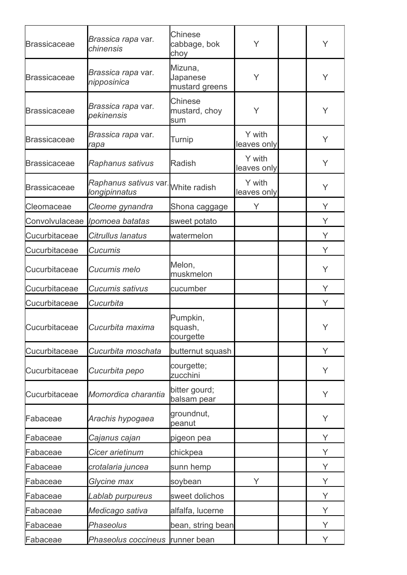| <b>Brassicaceae</b> | Brassica rapa var.<br>chinensis          | <b>Chinese</b><br>cabbage, bok<br>choy | Y                     | Y |
|---------------------|------------------------------------------|----------------------------------------|-----------------------|---|
| <b>Brassicaceae</b> | <i>Brassica rapa</i> var.<br>nipposinica | Mizuna,<br>Japanese<br>mustard greens  | Y                     | Y |
| <b>Brassicaceae</b> | Brassica rapa var.<br>pekinensis         | <b>Chinese</b><br>mustard, choy<br>sum | Y                     | Y |
| <b>Brassicaceae</b> | <i>Brassica rapa</i> var.<br>rapa        | <b>Turnip</b>                          | Y with<br>leaves only | Y |
| <b>Brassicaceae</b> | Raphanus sativus                         | <b>Radish</b>                          | Y with<br>leaves only | Y |
| <b>Brassicaceae</b> | Raphanus sativus var.<br>longipinnatus   | White radish                           | Y with<br>leaves only | Y |
| Cleomaceae          | Cleome gynandra                          | Shona caggage                          | Υ                     | Y |
| Convolvulaceae      | Ipomoea batatas                          | sweet potato                           |                       | Y |
| Cucurbitaceae       | Citrullus lanatus                        | watermelon                             |                       | Υ |
| Cucurbitaceae       | Cucumis                                  |                                        |                       | Y |
| Cucurbitaceae       | Cucumis melo                             | Melon,<br>muskmelon                    |                       | Y |
| Cucurbitaceae       | Cucumis sativus                          | cucumber                               |                       | Y |
| Cucurbitaceae       | Cucurbita                                |                                        |                       | Y |
| Cucurbitaceae       | Cucurbita maxima                         | Pumpkin,<br>squash,<br>courgette       |                       | Y |
| Cucurbitaceae       | Cucurbita moschata                       | butternut squash                       |                       | Y |
| Cucurbitaceae       | Cucurbita pepo                           | courgette;<br>zucchini                 |                       | Υ |
| Cucurbitaceae       | Momordica charantia                      | bitter gourd;<br>balsam pear           |                       | Y |
| Fabaceae            | Arachis hypogaea                         | groundnut,<br>peanut                   |                       | Y |
| Fabaceae            | Cajanus cajan                            | pigeon pea                             |                       | Y |
| Fabaceae            | Cicer arietinum                          | chickpea                               |                       | Υ |
| Fabaceae            | crotalaria juncea                        | sunn hemp                              |                       | Y |
| Fabaceae            | Glycine max                              | soybean                                | Υ                     | Υ |
| Fabaceae            | Lablab purpureus                         | sweet dolichos                         |                       | Y |
| Fabaceae            | Medicago sativa                          | alfalfa, lucerne                       |                       | Υ |
| Fabaceae            | Phaseolus                                | bean, string bean                      |                       | Υ |
| Fabaceae            | Phaseolus coccineus                      | runner bean                            |                       | Υ |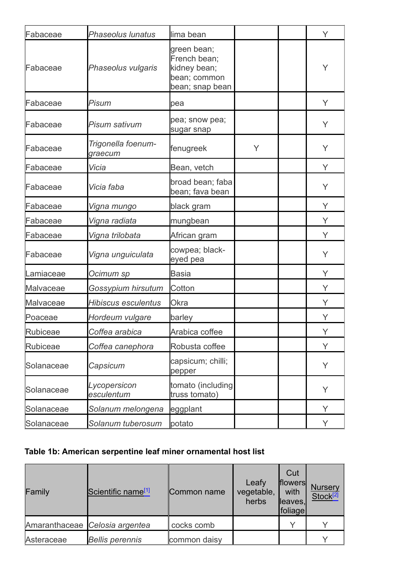| Fabaceae   | <b>Phaseolus lunatus</b>      | lima bean                                                                      |   | Y |
|------------|-------------------------------|--------------------------------------------------------------------------------|---|---|
| Fabaceae   | Phaseolus vulgaris            | green bean;<br>French bean;<br>kidney bean;<br>bean; common<br>bean; snap bean |   | Υ |
| Fabaceae   | Pisum                         | pea                                                                            |   | Y |
| Fabaceae   | <b>Pisum sativum</b>          | pea; snow pea;<br>sugar snap                                                   |   | Y |
| Fabaceae   | Trigonella foenum-<br>graecum | fenugreek                                                                      | Y | Υ |
| Fabaceae   | Vicia                         | Bean, vetch                                                                    |   | Y |
| Fabaceae   | Vicia faba                    | broad bean; faba<br>bean; fava bean                                            |   | Y |
| Fabaceae   | Vigna mungo                   | black gram                                                                     |   | Y |
| Fabaceae   | Vigna radiata                 | mungbean                                                                       |   | Y |
| Fabaceae   | Vigna trilobata               | African gram                                                                   |   | Υ |
| Fabaceae   | Vigna unguiculata             | cowpea; black-<br>eyed pea                                                     |   | Y |
| Lamiaceae  | Ocimum sp                     | <b>Basia</b>                                                                   |   | Y |
| Malvaceae  | Gossypium hirsutum            | Cotton                                                                         |   | Υ |
| Malvaceae  | <b>Hibiscus esculentus</b>    | <b>Okra</b>                                                                    |   | Y |
| Poaceae    | Hordeum vulgare               | barley                                                                         |   | Υ |
| Rubiceae   | Coffea arabica                | Arabica coffee                                                                 |   | Y |
| Rubiceae   | Coffea canephora              | Robusta coffee                                                                 |   | Y |
| Solanaceae | Capsicum                      | capsicum; chilli;<br>pepper                                                    |   | Υ |
| Solanaceae | Lycopersicon<br>esculentum    | tomato (including<br>truss tomato)                                             |   | Υ |
| Solanaceae | Solanum melongena             | eggplant                                                                       |   | Y |
| Solanaceae | Solanum tuberosum             | potato                                                                         |   | Υ |

# **Table 1b: American serpentine leaf miner ornamental host list**

| Family     | Scientific name <sup>[1]</sup> | Common name  | Leafy<br>vegetable,<br>herbs | Cut<br>flowers<br>with<br>leaves,<br><b>foliage</b> | <b>Nursery</b><br>Stock <sup>[2]</sup> |
|------------|--------------------------------|--------------|------------------------------|-----------------------------------------------------|----------------------------------------|
|            | Amaranthaceae Celosia argentea | cocks comb   |                              |                                                     |                                        |
| Asteraceae | <b>Bellis perennis</b>         | common daisy |                              |                                                     |                                        |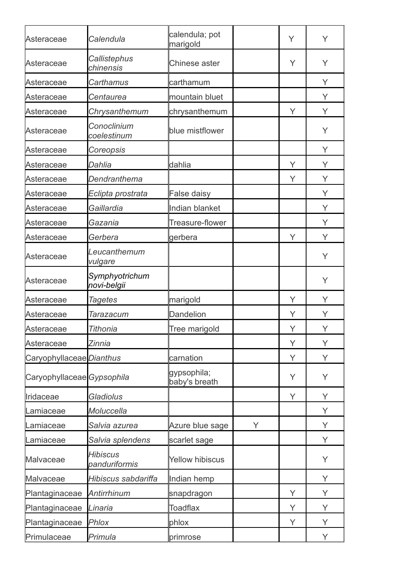| Asteraceae                 | Calendula                        | calendula; pot<br>marigold   |   | Y | Υ |
|----------------------------|----------------------------------|------------------------------|---|---|---|
| Asteraceae                 | Callistephus<br>chinensis        | Chinese aster                |   | Υ | Y |
| Asteraceae                 | <b>Carthamus</b>                 | carthamum                    |   |   | Y |
| Asteraceae                 | Centaurea                        | mountain bluet               |   |   | Y |
| Asteraceae                 | Chrysanthemum                    | chrysanthemum                |   | Y | Y |
| Asteraceae                 | Conoclinium<br>coelestinum       | blue mistflower              |   |   | Y |
| Asteraceae                 | Coreopsis                        |                              |   |   | Y |
| Asteraceae                 | Dahlia                           | dahlia                       |   | Y | Y |
| Asteraceae                 | Dendranthema                     |                              |   | Υ | Y |
| Asteraceae                 | Eclipta prostrata                | False daisy                  |   |   | Υ |
| Asteraceae                 | Gaillardia                       | Indian blanket               |   |   | Y |
| Asteraceae                 | Gazania                          | Treasure-flower              |   |   | Υ |
| Asteraceae                 | Gerbera                          | gerbera                      |   | Y | Y |
| Asteraceae                 | Leucanthemum<br>vulgare          |                              |   |   | Υ |
| Asteraceae                 | Symphyotrichum<br>novi-belgii    |                              |   |   | Y |
| Asteraceae                 | <b>Tagetes</b>                   | marigold                     |   | Y | Υ |
| Asteraceae                 | Tarazacum                        | <b>Dandelion</b>             |   | Υ | Υ |
| Asteraceae                 | Tithonia                         | Tree marigold                |   | Υ | Υ |
| Asteraceae                 | Zinnia                           |                              |   | Y | Y |
| Caryophyllaceae Dianthus   |                                  | carnation                    |   | Y | Υ |
| Caryophyllaceae Gypsophila |                                  | gypsophila;<br>baby's breath |   | Y | Y |
| Iridaceae                  | <b>Gladiolus</b>                 |                              |   | Y | Y |
| Lamiaceae                  | Moluccella                       |                              |   |   | Y |
| Lamiaceae                  | Salvia azurea                    | Azure blue sage              | Y |   | Y |
| Lamiaceae                  | Salvia splendens                 | scarlet sage                 |   |   | Υ |
| Malvaceae                  | <b>Hibiscus</b><br>panduriformis | <b>Yellow hibiscus</b>       |   |   | Y |
| Malvaceae                  | Hibiscus sabdariffa              | Indian hemp                  |   |   | Y |
| Plantaginaceae             | Antirrhinum                      | snapdragon                   |   | Y | Y |
| Plantaginaceae             | Linaria                          | <b>Toadflax</b>              |   | Y | Y |
| Plantaginaceae             | <b>Phlox</b>                     | phlox                        |   | Υ | Υ |
| Primulaceae                | Primula                          | primrose                     |   |   | Υ |